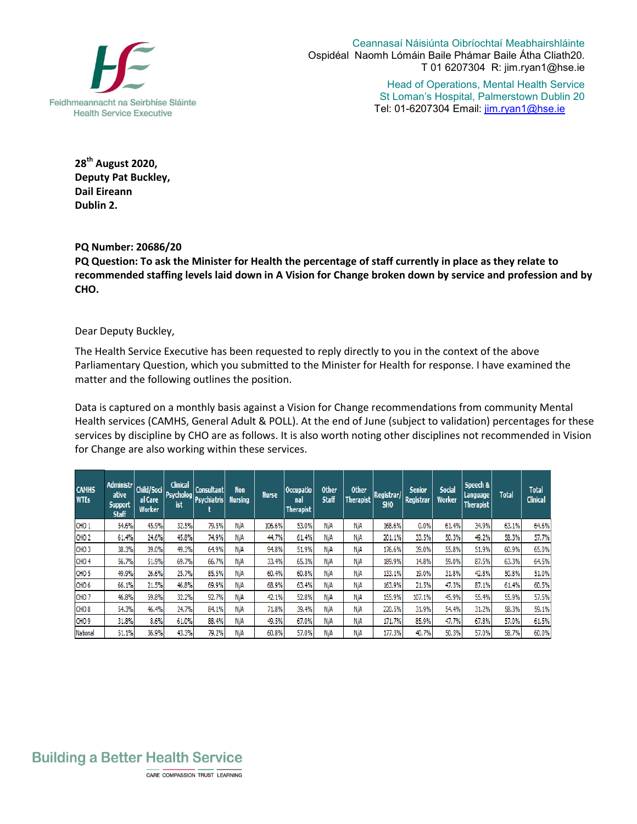

Ceannasaí Náisiúnta Oibríochtaí Meabhairshláinte Ospidéal Naomh Lómáin Baile Phámar Baile Átha Cliath20. T 01 6207304 R: jim.ryan1@hse.ie

> Head of Operations, Mental Health Service St Loman's Hospital, Palmerstown Dublin 20 Tel: 01-6207304 Email: jim.ryan1@hse.ie

**28 th August 2020, Deputy Pat Buckley, Dail Eireann Dublin 2.** 

## **PQ Number: 20686/20**

**PQ Question: To ask the Minister for Health the percentage of staff currently in place as they relate to recommended staffing levels laid down in A Vision for Change broken down by service and profession and by CHO.**

## Dear Deputy Buckley,

The Health Service Executive has been requested to reply directly to you in the context of the above Parliamentary Question, which you submitted to the Minister for Health for response. I have examined the matter and the following outlines the position.

Data is captured on a monthly basis against a Vision for Change recommendations from community Mental Health services (CAMHS, General Adult & POLL). At the end of June (subject to validation) percentages for these services by discipline by CHO are as follows. It is also worth noting other disciplines not recommended in Vision for Change are also working within these services.

| <b>CAMHS</b><br><b>WTEs</b> | Administr<br>ative<br><b>Support</b><br><b>Staff</b> | Child/Soci<br>al Care<br><b>Worker</b> | <b>Clinical</b><br>ist | <b>Consultant</b><br>Psycholog Psychiatris | Non<br><b>Nursing</b> | <b>Nurse</b> | Occupatio<br>nal<br><b>Therapist</b> | <b>Other</b><br><b>Staff</b> | <b>Other</b><br><b>Therapist</b> | Registrar/<br>SH <sub>0</sub> | <b>Senior</b><br>Registrar | <b>Social</b><br><b>Worker</b> | Speech &<br>Language<br><b>Therapist</b> | <b>Total</b> | <b>Total</b><br><b>Clinical</b> |
|-----------------------------|------------------------------------------------------|----------------------------------------|------------------------|--------------------------------------------|-----------------------|--------------|--------------------------------------|------------------------------|----------------------------------|-------------------------------|----------------------------|--------------------------------|------------------------------------------|--------------|---------------------------------|
| CHO <sub>1</sub>            | 54.6%                                                | 45.9%                                  | 32.5%                  | 79.5%                                      | N/A                   | 106.6%       | 53.0%                                | N/A                          | N/A                              | 168,6%                        | 0.0%                       | 61.4%                          | 34.9%                                    | 63.1%        | 64.6%                           |
| CHO <sub>2</sub>            | 61.4%                                                | 24.6%                                  | 45.8%                  | 74.9%                                      | N/A                   | 44.7%        | 61.4%                                | N/A                          | N/A                              | 201.1%                        | 33.5%                      | 50.3%                          | 49.2%                                    | 58.3%        | 57.7%                           |
| CHO <sub>3</sub>            | 38.3%                                                | 39.0%                                  | 49.3%                  | 64.9%                                      | N/A                   | 94.8%        | 51.9%                                | N/A                          | N/A                              | 176.6%                        | 39.0%                      | 55.8%                          | 51.9%                                    | 60.9%        | 65.0%                           |
| CHO <sub>4</sub>            | 56.7%                                                | 51.9%                                  | 69.7%                  | 66.7%                                      | N/A                   | 33.4%        | 65.3%                                | N/A                          | N/A                              | 189.9%                        | 14.8%                      | 59.0%                          | 87.5%                                    | 63.3%        | 64.5%                           |
| CHO <sub>5</sub>            | 49.9%                                                | 26.6%                                  | 25.7%                  | 85.5%                                      | N/A                   | 60.4%        | 60.8%                                | N/A                          | N/A                              | 133.1%                        | 19.0%                      | 31.8%                          | 42.8%                                    | 50.8%        | 51.0%                           |
| CHO <sub>6</sub>            | 66.1%                                                | 21.5%                                  | 46.8%                  | 69.9%                                      | N/A                   | 68.9%        | 63.4%                                | N/A                          | N/A                              | 163.9%                        | 21.5%                      | 47.3%                          | 87.1%                                    | 61.4%        | 60.5%                           |
| CHO <sub>7</sub>            | 46.8%                                                | 59.8%                                  | 32.2%                  | 92.7%                                      | N/A                   | 42.1%        | 52.8%                                | N/A                          | N/A                              | 155.9%                        | 107.1%                     | 45.9%                          | 55.4%                                    | 55.9%        | 57.5%                           |
| CHO <sub>8</sub>            | 54.3%                                                | 46.4%                                  | 24.7%                  | 84.1%                                      | N/A                   | 71.8%        | 39.4%                                | N/A                          | N/A                              | 220.5%                        | 31.9%                      | 54.4%                          | 31.2%                                    | 58.3%        | 59.1%                           |
| CHO <sub>9</sub>            | 31.8%                                                | 8.6%                                   | 61.0%                  | 88.4%                                      | N/A                   | 49.5%        | 67.0%                                | N/A                          | N/A                              | 171.7%                        | 85.9%                      | 47.7%                          | 67.8%                                    | 57.0%        | 61.5%                           |
| National                    | 51.1%                                                | 36.9%                                  | 43.3%                  | 79.2%                                      | N/A                   | 60.8%        | 57.0%                                | N/A                          | N/A                              | 177.3%                        | 40.7%                      | 50.3%                          | 57.0%                                    | 58.7%        | 60.0%                           |

## **Building a Better Health Service**

CARE COMPASSION TRUST LEARNING